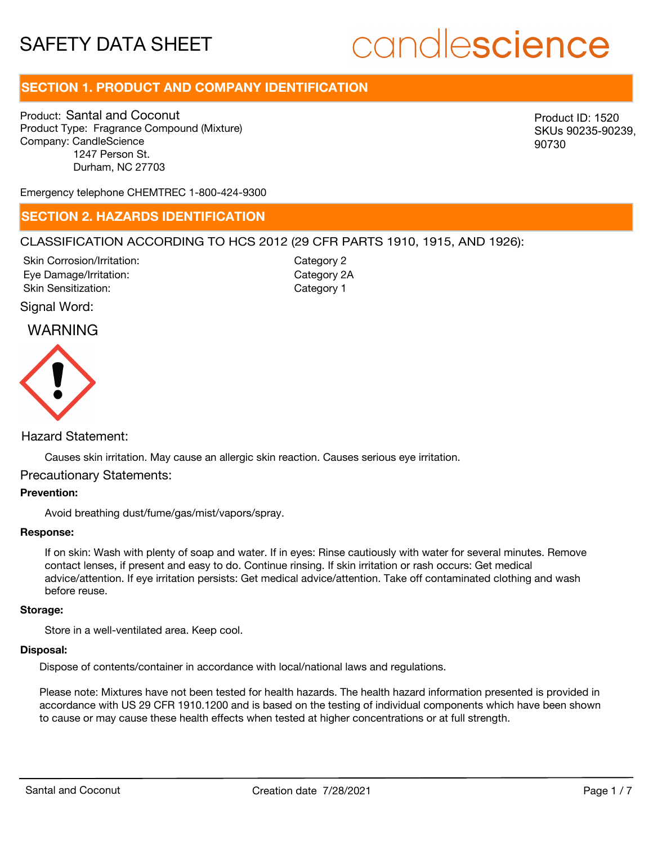# candlescience

# **SECTION 1. PRODUCT AND COMPANY IDENTIFICATION**

Product: Santal and Coconut Product Type: Fragrance Compound (Mixture) Company: CandleScience 1247 Person St. Durham, NC 27703

Product ID: 1520 SKUs 90235-90239, 90730

Emergency telephone CHEMTREC 1-800-424-9300

### **SECTION 2. HAZARDS IDENTIFICATION**

### CLASSIFICATION ACCORDING TO HCS 2012 (29 CFR PARTS 1910, 1915, AND 1926):

Skin Corrosion/Irritation: Eye Damage/Irritation: Skin Sensitization:

Category 2 Category 2A Category 1

### Signal Word:

## WARNING



### Hazard Statement:

Causes skin irritation. May cause an allergic skin reaction. Causes serious eye irritation.

### Precautionary Statements:

### **Prevention:**

Avoid breathing dust/fume/gas/mist/vapors/spray.

### **Response:**

If on skin: Wash with plenty of soap and water. If in eyes: Rinse cautiously with water for several minutes. Remove contact lenses, if present and easy to do. Continue rinsing. If skin irritation or rash occurs: Get medical advice/attention. If eye irritation persists: Get medical advice/attention. Take off contaminated clothing and wash before reuse.

#### **Storage:**

Store in a well-ventilated area. Keep cool.

### **Disposal:**

Dispose of contents/container in accordance with local/national laws and regulations.

Please note: Mixtures have not been tested for health hazards. The health hazard information presented is provided in accordance with US 29 CFR 1910.1200 and is based on the testing of individual components which have been shown to cause or may cause these health effects when tested at higher concentrations or at full strength.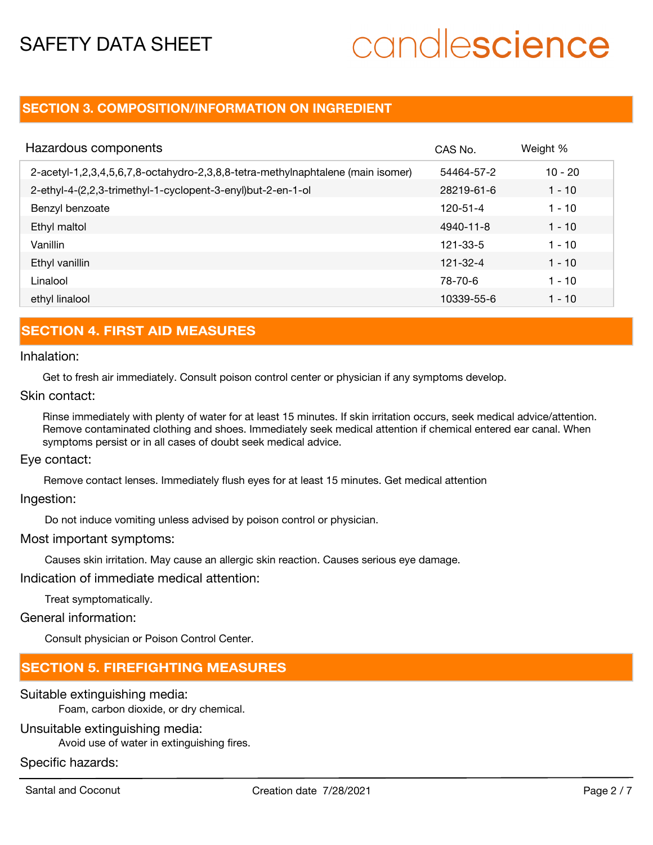# candlescience

## **SECTION 3. COMPOSITION/INFORMATION ON INGREDIENT**

| Hazardous components                                                            | CAS No.    | Weight %  |
|---------------------------------------------------------------------------------|------------|-----------|
| 2-acetyl-1,2,3,4,5,6,7,8-octahydro-2,3,8,8-tetra-methylnaphtalene (main isomer) | 54464-57-2 | $10 - 20$ |
| 2-ethyl-4-(2,2,3-trimethyl-1-cyclopent-3-enyl)but-2-en-1-ol                     | 28219-61-6 | $1 - 10$  |
| Benzyl benzoate                                                                 | 120-51-4   | $1 - 10$  |
| Ethyl maltol                                                                    | 4940-11-8  | $1 - 10$  |
| Vanillin                                                                        | 121-33-5   | $1 - 10$  |
| Ethyl vanillin                                                                  | 121-32-4   | $1 - 10$  |
| Linalool                                                                        | 78-70-6    | $1 - 10$  |
| ethyl linalool                                                                  | 10339-55-6 | $1 - 10$  |

# **SECTION 4. FIRST AID MEASURES**

Inhalation:

Get to fresh air immediately. Consult poison control center or physician if any symptoms develop.

Skin contact:

Rinse immediately with plenty of water for at least 15 minutes. If skin irritation occurs, seek medical advice/attention. Remove contaminated clothing and shoes. Immediately seek medical attention if chemical entered ear canal. When symptoms persist or in all cases of doubt seek medical advice.

Eye contact:

Remove contact lenses. Immediately flush eyes for at least 15 minutes. Get medical attention

Ingestion:

Do not induce vomiting unless advised by poison control or physician.

Most important symptoms:

Causes skin irritation. May cause an allergic skin reaction. Causes serious eye damage.

Indication of immediate medical attention:

Treat symptomatically.

General information:

Consult physician or Poison Control Center.

## **SECTION 5. FIREFIGHTING MEASURES**

Suitable extinguishing media:

Foam, carbon dioxide, or dry chemical.

### Unsuitable extinguishing media:

Avoid use of water in extinguishing fires.

Specific hazards: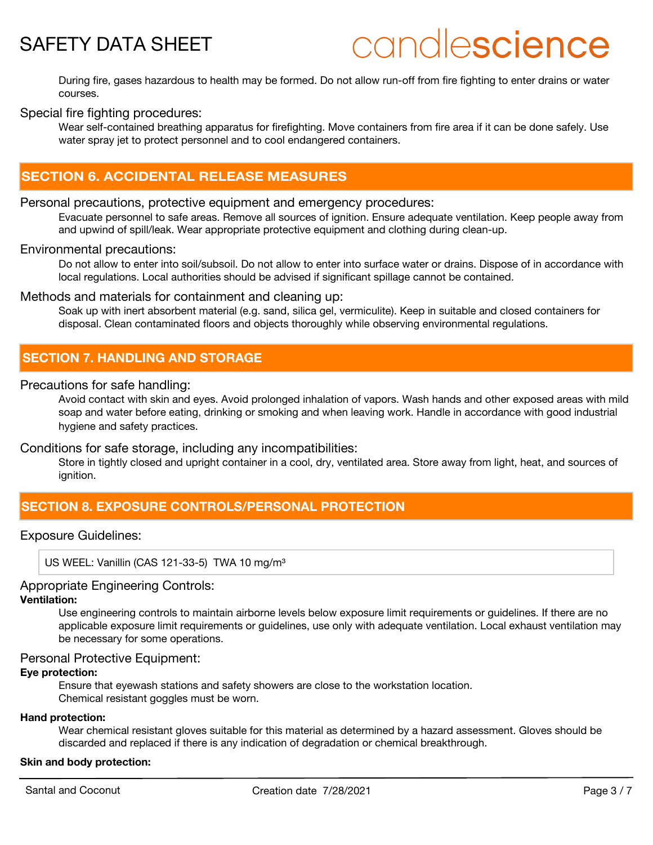# candlescience

During fire, gases hazardous to health may be formed. Do not allow run-off from fire fighting to enter drains or water courses.

### Special fire fighting procedures:

Wear self-contained breathing apparatus for firefighting. Move containers from fire area if it can be done safely. Use water spray jet to protect personnel and to cool endangered containers.

# **SECTION 6. ACCIDENTAL RELEASE MEASURES**

### Personal precautions, protective equipment and emergency procedures:

Evacuate personnel to safe areas. Remove all sources of ignition. Ensure adequate ventilation. Keep people away from and upwind of spill/leak. Wear appropriate protective equipment and clothing during clean-up.

### Environmental precautions:

Do not allow to enter into soil/subsoil. Do not allow to enter into surface water or drains. Dispose of in accordance with local regulations. Local authorities should be advised if significant spillage cannot be contained.

### Methods and materials for containment and cleaning up:

Soak up with inert absorbent material (e.g. sand, silica gel, vermiculite). Keep in suitable and closed containers for disposal. Clean contaminated floors and objects thoroughly while observing environmental regulations.

### **SECTION 7. HANDLING AND STORAGE**

### Precautions for safe handling:

Avoid contact with skin and eyes. Avoid prolonged inhalation of vapors. Wash hands and other exposed areas with mild soap and water before eating, drinking or smoking and when leaving work. Handle in accordance with good industrial hygiene and safety practices.

### Conditions for safe storage, including any incompatibilities:

Store in tightly closed and upright container in a cool, dry, ventilated area. Store away from light, heat, and sources of ignition.

# **SECTION 8. EXPOSURE CONTROLS/PERSONAL PROTECTION**

### Exposure Guidelines:

US WEEL: Vanillin (CAS 121-33-5) TWA 10 mg/m<sup>3</sup>

### Appropriate Engineering Controls:

### **Ventilation:**

Use engineering controls to maintain airborne levels below exposure limit requirements or guidelines. If there are no applicable exposure limit requirements or guidelines, use only with adequate ventilation. Local exhaust ventilation may be necessary for some operations.

### Personal Protective Equipment:

### **Eye protection:**

Ensure that eyewash stations and safety showers are close to the workstation location. Chemical resistant goggles must be worn.

#### **Hand protection:**

Wear chemical resistant gloves suitable for this material as determined by a hazard assessment. Gloves should be discarded and replaced if there is any indication of degradation or chemical breakthrough.

### **Skin and body protection:**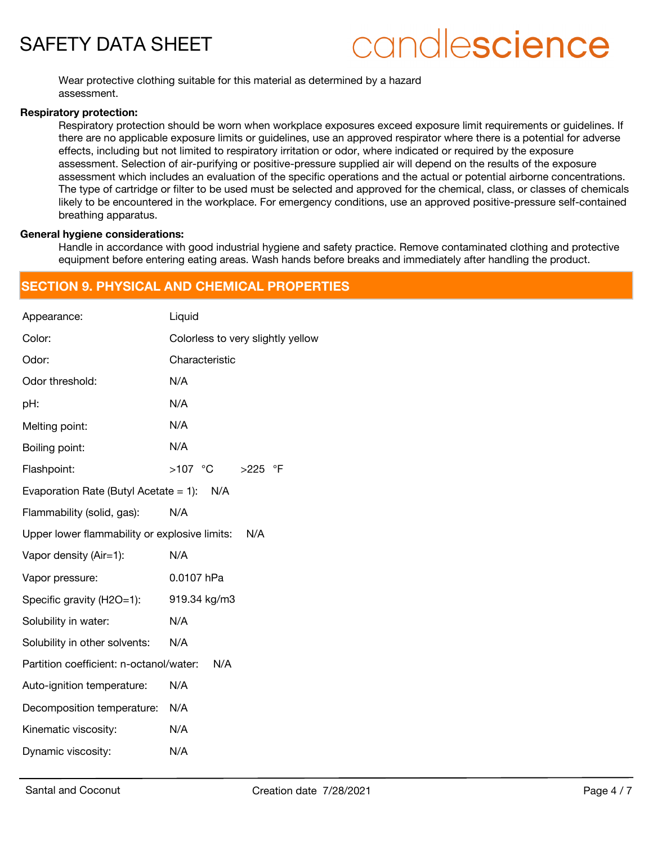# candlescience

Wear protective clothing suitable for this material as determined by a hazard assessment.

### **Respiratory protection:**

Respiratory protection should be worn when workplace exposures exceed exposure limit requirements or guidelines. If there are no applicable exposure limits or guidelines, use an approved respirator where there is a potential for adverse effects, including but not limited to respiratory irritation or odor, where indicated or required by the exposure assessment. Selection of air-purifying or positive-pressure supplied air will depend on the results of the exposure assessment which includes an evaluation of the specific operations and the actual or potential airborne concentrations. The type of cartridge or filter to be used must be selected and approved for the chemical, class, or classes of chemicals likely to be encountered in the workplace. For emergency conditions, use an approved positive-pressure self-contained breathing apparatus.

### **General hygiene considerations:**

Handle in accordance with good industrial hygiene and safety practice. Remove contaminated clothing and protective equipment before entering eating areas. Wash hands before breaks and immediately after handling the product.

## **SECTION 9. PHYSICAL AND CHEMICAL PROPERTIES**

| Appearance:                                          | Liquid                            |  |
|------------------------------------------------------|-----------------------------------|--|
| Color:                                               | Colorless to very slightly yellow |  |
| Odor:                                                | Characteristic                    |  |
| Odor threshold:                                      | N/A                               |  |
| pH:                                                  | N/A                               |  |
| Melting point:                                       | N/A                               |  |
| Boiling point:                                       | N/A                               |  |
| Flashpoint:                                          | >107 °C >225 °F                   |  |
| Evaporation Rate (Butyl Acetate = 1): $N/A$          |                                   |  |
| Flammability (solid, gas):                           | N/A                               |  |
| Upper lower flammability or explosive limits:<br>N/A |                                   |  |
| Vapor density (Air=1):                               | N/A                               |  |
| Vapor pressure:                                      | 0.0107 hPa                        |  |
| Specific gravity (H2O=1):                            | 919.34 kg/m3                      |  |
| Solubility in water:                                 | N/A                               |  |
| Solubility in other solvents:                        | N/A                               |  |
| Partition coefficient: n-octanol/water:<br>N/A       |                                   |  |
| Auto-ignition temperature:                           | N/A                               |  |
| Decomposition temperature:                           | N/A                               |  |
| Kinematic viscosity:                                 | N/A                               |  |
| Dynamic viscosity:                                   | N/A                               |  |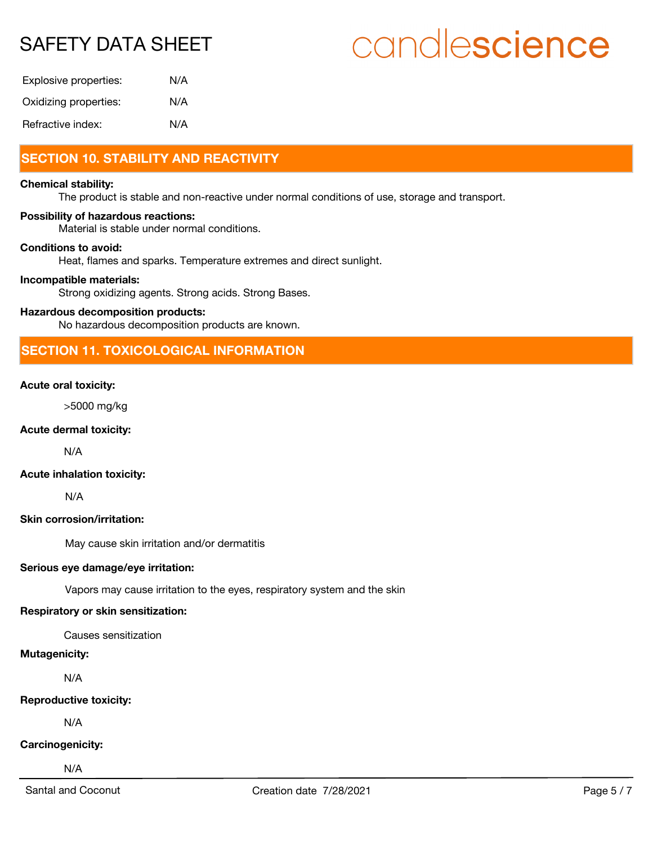# candlescience

| Explosive properties: | N/A |
|-----------------------|-----|
| Oxidizing properties: | N/A |
| Refractive index:     | N/A |

# **SECTION 10. STABILITY AND REACTIVITY**

### **Chemical stability:**

The product is stable and non-reactive under normal conditions of use, storage and transport.

### **Possibility of hazardous reactions:**

Material is stable under normal conditions.

### **Conditions to avoid:**

Heat, flames and sparks. Temperature extremes and direct sunlight.

### **Incompatible materials:**

Strong oxidizing agents. Strong acids. Strong Bases.

### **Hazardous decomposition products:**

No hazardous decomposition products are known.

### **SECTION 11. TOXICOLOGICAL INFORMATION**

### **Acute oral toxicity:**

>5000 mg/kg

### **Acute dermal toxicity:**

N/A

### **Acute inhalation toxicity:**

N/A

### **Skin corrosion/irritation:**

May cause skin irritation and/or dermatitis

### **Serious eye damage/eye irritation:**

Vapors may cause irritation to the eyes, respiratory system and the skin

### **Respiratory or skin sensitization:**

Causes sensitization

### **Mutagenicity:**

N/A

### **Reproductive toxicity:**

N/A

### **Carcinogenicity:**

N/A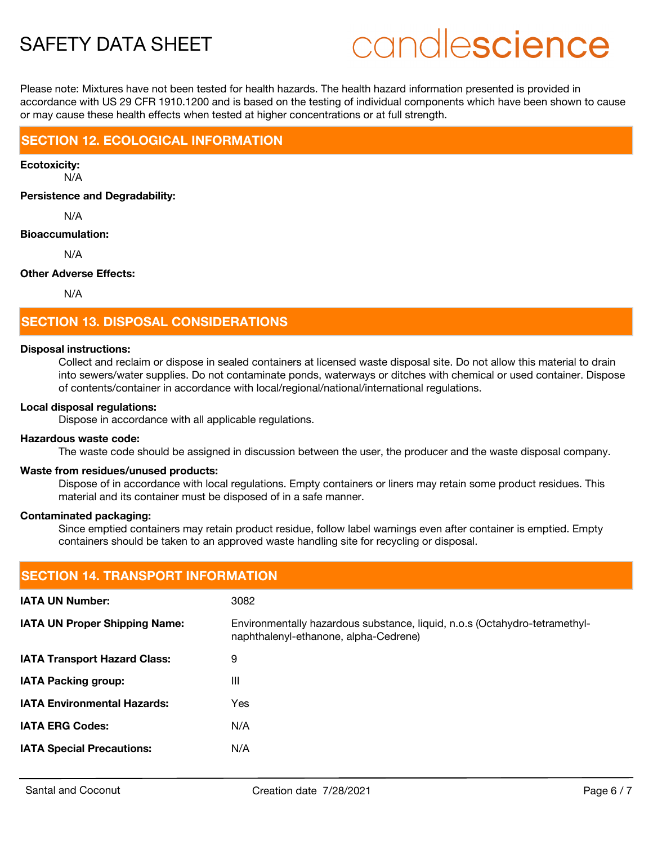# candlescience

Please note: Mixtures have not been tested for health hazards. The health hazard information presented is provided in accordance with US 29 CFR 1910.1200 and is based on the testing of individual components which have been shown to cause or may cause these health effects when tested at higher concentrations or at full strength.

## **SECTION 12. ECOLOGICAL INFORMATION**

**Ecotoxicity:**

N/A

**Persistence and Degradability:**

N/A

### **Bioaccumulation:**

N/A

### **Other Adverse Effects:**

N/A

# **SECTION 13. DISPOSAL CONSIDERATIONS**

### **Disposal instructions:**

Collect and reclaim or dispose in sealed containers at licensed waste disposal site. Do not allow this material to drain into sewers/water supplies. Do not contaminate ponds, waterways or ditches with chemical or used container. Dispose of contents/container in accordance with local/regional/national/international regulations.

### **Local disposal regulations:**

Dispose in accordance with all applicable regulations.

### **Hazardous waste code:**

The waste code should be assigned in discussion between the user, the producer and the waste disposal company.

### **Waste from residues/unused products:**

Dispose of in accordance with local regulations. Empty containers or liners may retain some product residues. This material and its container must be disposed of in a safe manner.

### **Contaminated packaging:**

Since emptied containers may retain product residue, follow label warnings even after container is emptied. Empty containers should be taken to an approved waste handling site for recycling or disposal.

| <b>SECTION 14. TRANSPORT INFORMATION</b> |                                                                                                                     |  |
|------------------------------------------|---------------------------------------------------------------------------------------------------------------------|--|
| <b>IATA UN Number:</b>                   | 3082                                                                                                                |  |
| <b>IATA UN Proper Shipping Name:</b>     | Environmentally hazardous substance, liquid, n.o.s (Octahydro-tetramethyl-<br>naphthalenyl-ethanone, alpha-Cedrene) |  |
| <b>IATA Transport Hazard Class:</b>      | 9                                                                                                                   |  |
| <b>IATA Packing group:</b>               | Ш                                                                                                                   |  |
| <b>IATA Environmental Hazards:</b>       | Yes                                                                                                                 |  |
| <b>IATA ERG Codes:</b>                   | N/A                                                                                                                 |  |
| <b>IATA Special Precautions:</b>         | N/A                                                                                                                 |  |